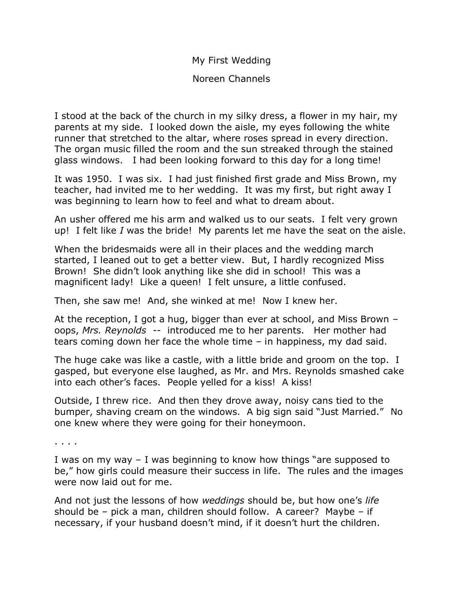My First Wedding

Noreen Channels

I stood at the back of the church in my silky dress, a flower in my hair, my parents at my side. I looked down the aisle, my eyes following the white runner that stretched to the altar, where roses spread in every direction. The organ music filled the room and the sun streaked through the stained glass windows. I had been looking forward to this day for a long time!

It was 1950. I was six. I had just finished first grade and Miss Brown, my teacher, had invited me to her wedding. It was my first, but right away I was beginning to learn how to feel and what to dream about.

An usher offered me his arm and walked us to our seats. I felt very grown up! I felt like *I* was the bride! My parents let me have the seat on the aisle.

When the bridesmaids were all in their places and the wedding march started, I leaned out to get a better view. But, I hardly recognized Miss Brown! She didn't look anything like she did in school! This was a magnificent lady! Like a queen! I felt unsure, a little confused.

Then, she saw me! And, she winked at me! Now I knew her.

At the reception, I got a hug, bigger than ever at school, and Miss Brown – oops, *Mrs. Reynolds* -- introduced me to her parents. Her mother had tears coming down her face the whole time – in happiness, my dad said.

The huge cake was like a castle, with a little bride and groom on the top. I gasped, but everyone else laughed, as Mr. and Mrs. Reynolds smashed cake into each other's faces. People yelled for a kiss! A kiss!

Outside, I threw rice. And then they drove away, noisy cans tied to the bumper, shaving cream on the windows. A big sign said "Just Married." No one knew where they were going for their honeymoon.

. . . .

I was on my way – I was beginning to know how things "are supposed to be," how girls could measure their success in life. The rules and the images were now laid out for me.

And not just the lessons of how *weddings* should be, but how one's *life* should be – pick a man, children should follow. A career? Maybe – if necessary, if your husband doesn't mind, if it doesn't hurt the children.